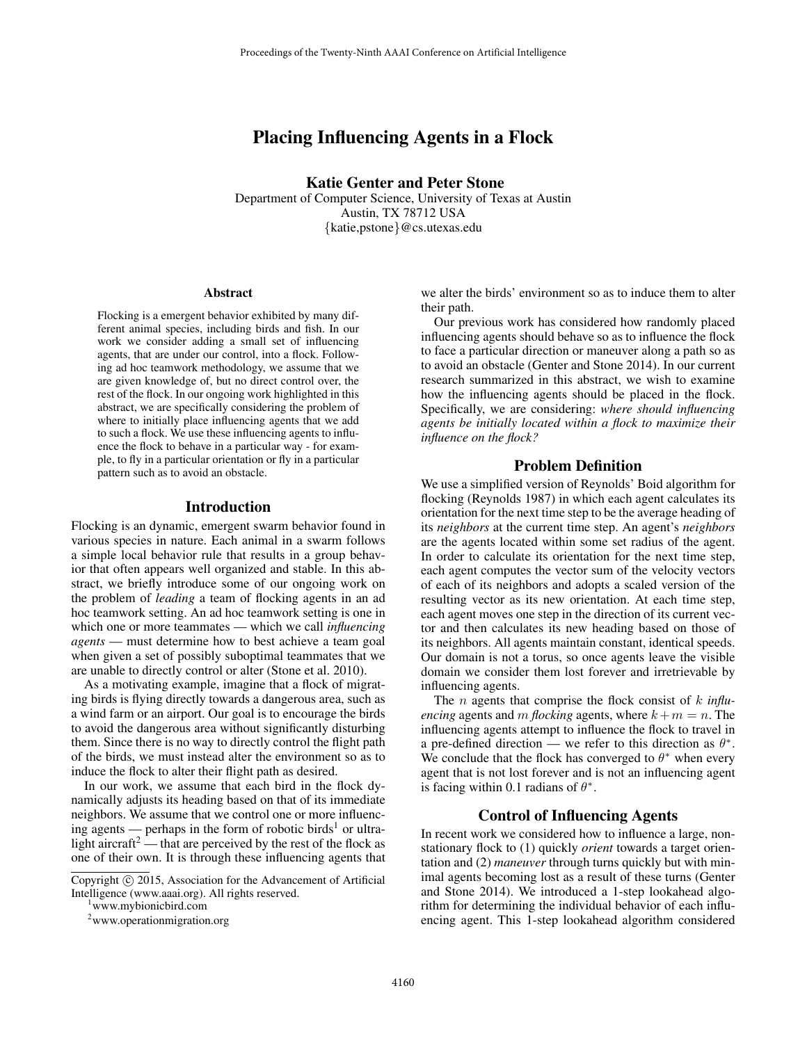# Placing Influencing Agents in a Flock

Katie Genter and Peter Stone

Department of Computer Science, University of Texas at Austin Austin, TX 78712 USA {katie,pstone}@cs.utexas.edu

#### Abstract

Flocking is a emergent behavior exhibited by many different animal species, including birds and fish. In our work we consider adding a small set of influencing agents, that are under our control, into a flock. Following ad hoc teamwork methodology, we assume that we are given knowledge of, but no direct control over, the rest of the flock. In our ongoing work highlighted in this abstract, we are specifically considering the problem of where to initially place influencing agents that we add to such a flock. We use these influencing agents to influence the flock to behave in a particular way - for example, to fly in a particular orientation or fly in a particular pattern such as to avoid an obstacle.

#### Introduction

Flocking is an dynamic, emergent swarm behavior found in various species in nature. Each animal in a swarm follows a simple local behavior rule that results in a group behavior that often appears well organized and stable. In this abstract, we briefly introduce some of our ongoing work on the problem of *leading* a team of flocking agents in an ad hoc teamwork setting. An ad hoc teamwork setting is one in which one or more teammates — which we call *influencing agents* — must determine how to best achieve a team goal when given a set of possibly suboptimal teammates that we are unable to directly control or alter (Stone et al. 2010).

As a motivating example, imagine that a flock of migrating birds is flying directly towards a dangerous area, such as a wind farm or an airport. Our goal is to encourage the birds to avoid the dangerous area without significantly disturbing them. Since there is no way to directly control the flight path of the birds, we must instead alter the environment so as to induce the flock to alter their flight path as desired.

In our work, we assume that each bird in the flock dynamically adjusts its heading based on that of its immediate neighbors. We assume that we control one or more influencing agents — perhaps in the form of robotic birds<sup>1</sup> or ultralight aircraft<sup>2</sup> — that are perceived by the rest of the flock as one of their own. It is through these influencing agents that

<sup>1</sup>www.mybionicbird.com

we alter the birds' environment so as to induce them to alter their path.

Our previous work has considered how randomly placed influencing agents should behave so as to influence the flock to face a particular direction or maneuver along a path so as to avoid an obstacle (Genter and Stone 2014). In our current research summarized in this abstract, we wish to examine how the influencing agents should be placed in the flock. Specifically, we are considering: *where should influencing agents be initially located within a flock to maximize their influence on the flock?*

#### Problem Definition

We use a simplified version of Reynolds' Boid algorithm for flocking (Reynolds 1987) in which each agent calculates its orientation for the next time step to be the average heading of its *neighbors* at the current time step. An agent's *neighbors* are the agents located within some set radius of the agent. In order to calculate its orientation for the next time step, each agent computes the vector sum of the velocity vectors of each of its neighbors and adopts a scaled version of the resulting vector as its new orientation. At each time step, each agent moves one step in the direction of its current vector and then calculates its new heading based on those of its neighbors. All agents maintain constant, identical speeds. Our domain is not a torus, so once agents leave the visible domain we consider them lost forever and irretrievable by influencing agents.

The n agents that comprise the flock consist of k *influencing* agents and m *flocking* agents, where  $k + m = n$ . The influencing agents attempt to influence the flock to travel in a pre-defined direction — we refer to this direction as  $\theta^*$ . We conclude that the flock has converged to  $\theta^*$  when every agent that is not lost forever and is not an influencing agent is facing within 0.1 radians of  $\theta^*$ .

#### Control of Influencing Agents

In recent work we considered how to influence a large, nonstationary flock to (1) quickly *orient* towards a target orientation and (2) *maneuver* through turns quickly but with minimal agents becoming lost as a result of these turns (Genter and Stone 2014). We introduced a 1-step lookahead algorithm for determining the individual behavior of each influencing agent. This 1-step lookahead algorithm considered

Copyright (c) 2015, Association for the Advancement of Artificial Intelligence (www.aaai.org). All rights reserved.

<sup>2</sup>www.operationmigration.org